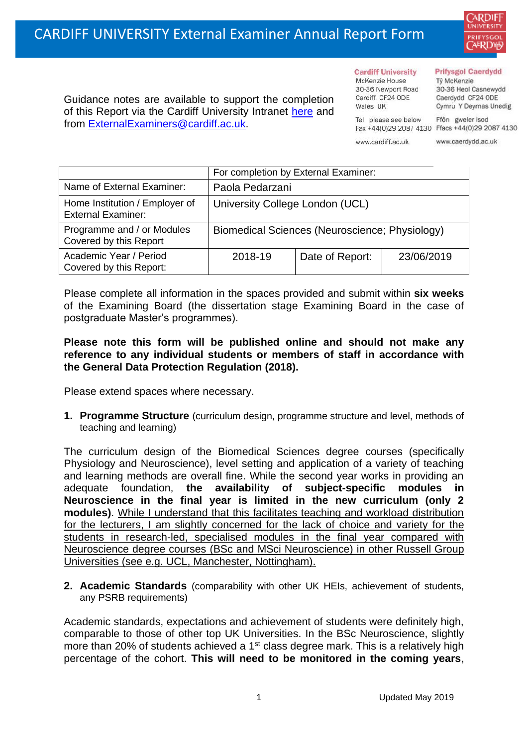

Guidance notes are available to support the completion of this Report via the Cardiff University Intranet [here](https://intranet.cardiff.ac.uk/staff/teaching-and-supporting-students/exams-and-assessment/exam-boards-and-external-examiners/for-current-external-examiners/external-examiners-reports) and from [ExternalExaminers@cardiff.ac.uk.](mailto:ExternalExaminers@cardiff.ac.uk)

**Cardiff University** McKenzie House 30-36 Newport Road Cardiff CF24 ODE

Wales UK

#### **Prifysgol Caerdydd**

Từ McKenzie 30-36 Heol Casnewydd Caerdydd CF24 ODE Cymru Y Deyrnas Unedig

Tel please see below Ffôn gweler isod Fax +44(0)29 2087 4130 Ffacs +44(0)29 2087 4130

www.cardiff.ac.uk

www.caerdydd.ac.uk

|                                                             | For completion by External Examiner:           |                 |            |  |  |
|-------------------------------------------------------------|------------------------------------------------|-----------------|------------|--|--|
| Name of External Examiner:                                  | Paola Pedarzani                                |                 |            |  |  |
| Home Institution / Employer of<br><b>External Examiner:</b> | University College London (UCL)                |                 |            |  |  |
| Programme and / or Modules<br>Covered by this Report        | Biomedical Sciences (Neuroscience; Physiology) |                 |            |  |  |
| Academic Year / Period<br>Covered by this Report:           | 2018-19                                        | Date of Report: | 23/06/2019 |  |  |

Please complete all information in the spaces provided and submit within **six weeks** of the Examining Board (the dissertation stage Examining Board in the case of postgraduate Master's programmes).

# **Please note this form will be published online and should not make any reference to any individual students or members of staff in accordance with the General Data Protection Regulation (2018).**

Please extend spaces where necessary.

**1. Programme Structure** (curriculum design, programme structure and level, methods of teaching and learning)

The curriculum design of the Biomedical Sciences degree courses (specifically Physiology and Neuroscience), level setting and application of a variety of teaching and learning methods are overall fine. While the second year works in providing an adequate foundation, **the availability of subject-specific modules in Neuroscience in the final year is limited in the new curriculum (only 2 modules)**. While I understand that this facilitates teaching and workload distribution for the lecturers, I am slightly concerned for the lack of choice and variety for the students in research-led, specialised modules in the final year compared with Neuroscience degree courses (BSc and MSci Neuroscience) in other Russell Group Universities (see e.g. UCL, Manchester, Nottingham).

**2. Academic Standards** (comparability with other UK HEIs, achievement of students, any PSRB requirements)

Academic standards, expectations and achievement of students were definitely high, comparable to those of other top UK Universities. In the BSc Neuroscience, slightly more than 20% of students achieved a 1<sup>st</sup> class degree mark. This is a relatively high percentage of the cohort. **This will need to be monitored in the coming years**,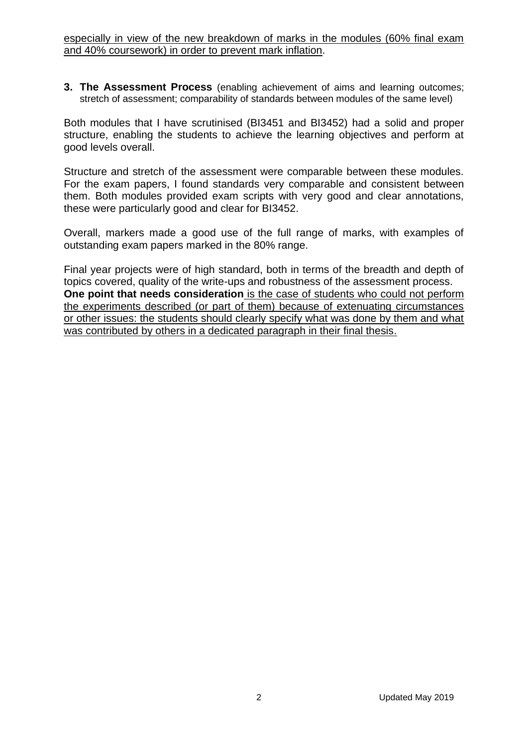especially in view of the new breakdown of marks in the modules (60% final exam and 40% coursework) in order to prevent mark inflation.

**3. The Assessment Process** (enabling achievement of aims and learning outcomes; stretch of assessment; comparability of standards between modules of the same level)

Both modules that I have scrutinised (BI3451 and BI3452) had a solid and proper structure, enabling the students to achieve the learning objectives and perform at good levels overall.

Structure and stretch of the assessment were comparable between these modules. For the exam papers, I found standards very comparable and consistent between them. Both modules provided exam scripts with very good and clear annotations, these were particularly good and clear for BI3452.

Overall, markers made a good use of the full range of marks, with examples of outstanding exam papers marked in the 80% range.

Final year projects were of high standard, both in terms of the breadth and depth of topics covered, quality of the write-ups and robustness of the assessment process. **One point that needs consideration** is the case of students who could not perform the experiments described (or part of them) because of extenuating circumstances or other issues: the students should clearly specify what was done by them and what was contributed by others in a dedicated paragraph in their final thesis.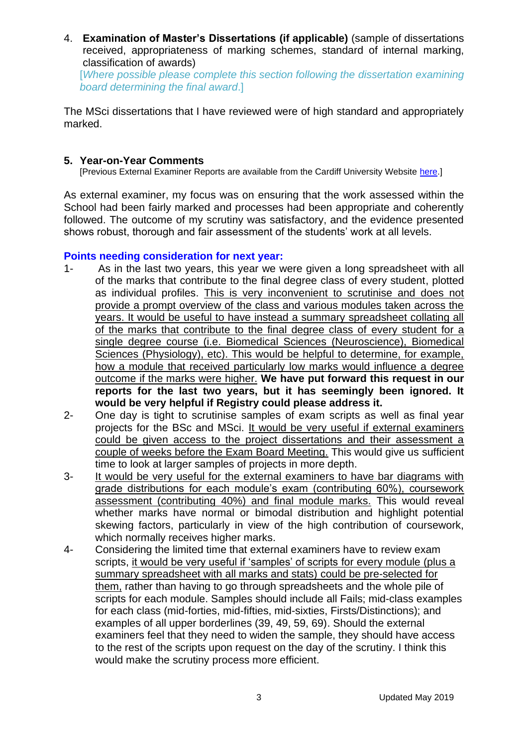4. **Examination of Master's Dissertations (if applicable)** (sample of dissertations received, appropriateness of marking schemes, standard of internal marking, classification of awards) [*Where possible please complete this section following the dissertation examining* 

*board determining the final award*.]

The MSci dissertations that I have reviewed were of high standard and appropriately marked.

# **5. Year-on-Year Comments**

[Previous External Examiner Reports are available from the Cardiff University Website [here.](https://www.cardiff.ac.uk/public-information/quality-and-standards/external-examiner-reports)]

As external examiner, my focus was on ensuring that the work assessed within the School had been fairly marked and processes had been appropriate and coherently followed. The outcome of my scrutiny was satisfactory, and the evidence presented shows robust, thorough and fair assessment of the students' work at all levels.

# **Points needing consideration for next year:**

- 1- As in the last two years, this year we were given a long spreadsheet with all of the marks that contribute to the final degree class of every student, plotted as individual profiles. This is very inconvenient to scrutinise and does not provide a prompt overview of the class and various modules taken across the years. It would be useful to have instead a summary spreadsheet collating all of the marks that contribute to the final degree class of every student for a single degree course (i.e. Biomedical Sciences (Neuroscience), Biomedical Sciences (Physiology), etc). This would be helpful to determine, for example, how a module that received particularly low marks would influence a degree outcome if the marks were higher. **We have put forward this request in our reports for the last two years, but it has seemingly been ignored. It would be very helpful if Registry could please address it.**
- 2- One day is tight to scrutinise samples of exam scripts as well as final year projects for the BSc and MSci. It would be very useful if external examiners could be given access to the project dissertations and their assessment a couple of weeks before the Exam Board Meeting. This would give us sufficient time to look at larger samples of projects in more depth.
- 3- It would be very useful for the external examiners to have bar diagrams with grade distributions for each module's exam (contributing 60%), coursework assessment (contributing 40%) and final module marks. This would reveal whether marks have normal or bimodal distribution and highlight potential skewing factors, particularly in view of the high contribution of coursework, which normally receives higher marks.
- 4- Considering the limited time that external examiners have to review exam scripts, it would be very useful if 'samples' of scripts for every module (plus a summary spreadsheet with all marks and stats) could be pre-selected for them, rather than having to go through spreadsheets and the whole pile of scripts for each module. Samples should include all Fails; mid-class examples for each class (mid-forties, mid-fifties, mid-sixties, Firsts/Distinctions); and examples of all upper borderlines (39, 49, 59, 69). Should the external examiners feel that they need to widen the sample, they should have access to the rest of the scripts upon request on the day of the scrutiny. I think this would make the scrutiny process more efficient.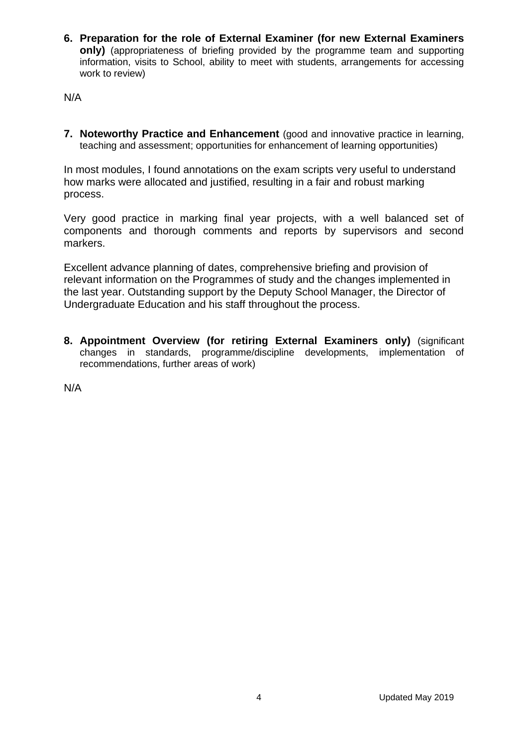**6. Preparation for the role of External Examiner (for new External Examiners only)** (appropriateness of briefing provided by the programme team and supporting information, visits to School, ability to meet with students, arrangements for accessing work to review)

N/A

**7. Noteworthy Practice and Enhancement** (good and innovative practice in learning, teaching and assessment; opportunities for enhancement of learning opportunities)

In most modules, I found annotations on the exam scripts very useful to understand how marks were allocated and justified, resulting in a fair and robust marking process.

Very good practice in marking final year projects, with a well balanced set of components and thorough comments and reports by supervisors and second markers.

Excellent advance planning of dates, comprehensive briefing and provision of relevant information on the Programmes of study and the changes implemented in the last year. Outstanding support by the Deputy School Manager, the Director of Undergraduate Education and his staff throughout the process.

**8. Appointment Overview (for retiring External Examiners only)** (significant changes in standards, programme/discipline developments, implementation of recommendations, further areas of work)

N/A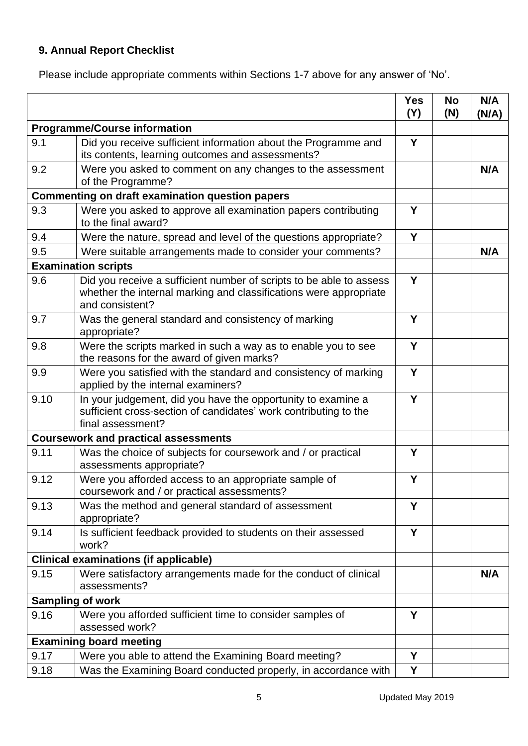# **9. Annual Report Checklist**

Please include appropriate comments within Sections 1-7 above for any answer of 'No'.

|      |                                                                                                                                                             | <b>Yes</b><br>(Y) | <b>No</b><br>(N) | N/A<br>(N/A) |
|------|-------------------------------------------------------------------------------------------------------------------------------------------------------------|-------------------|------------------|--------------|
|      | <b>Programme/Course information</b>                                                                                                                         |                   |                  |              |
| 9.1  | Did you receive sufficient information about the Programme and<br>its contents, learning outcomes and assessments?                                          | Y                 |                  |              |
| 9.2  | Were you asked to comment on any changes to the assessment<br>of the Programme?                                                                             |                   |                  | N/A          |
|      | <b>Commenting on draft examination question papers</b>                                                                                                      |                   |                  |              |
| 9.3  | Were you asked to approve all examination papers contributing<br>to the final award?                                                                        |                   |                  |              |
| 9.4  | Were the nature, spread and level of the questions appropriate?                                                                                             | Y                 |                  |              |
| 9.5  | Were suitable arrangements made to consider your comments?                                                                                                  |                   |                  | N/A          |
|      | <b>Examination scripts</b>                                                                                                                                  |                   |                  |              |
| 9.6  | Did you receive a sufficient number of scripts to be able to assess<br>whether the internal marking and classifications were appropriate<br>and consistent? | Y                 |                  |              |
| 9.7  | Was the general standard and consistency of marking<br>appropriate?                                                                                         | Y                 |                  |              |
| 9.8  | Were the scripts marked in such a way as to enable you to see<br>the reasons for the award of given marks?                                                  | Y                 |                  |              |
| 9.9  | Were you satisfied with the standard and consistency of marking<br>applied by the internal examiners?                                                       | Y                 |                  |              |
| 9.10 | In your judgement, did you have the opportunity to examine a<br>sufficient cross-section of candidates' work contributing to the<br>final assessment?       | Y                 |                  |              |
|      | <b>Coursework and practical assessments</b>                                                                                                                 |                   |                  |              |
| 9.11 | Was the choice of subjects for coursework and / or practical<br>assessments appropriate?                                                                    | Υ                 |                  |              |
| 9.12 | Were you afforded access to an appropriate sample of<br>coursework and / or practical assessments?                                                          | Y                 |                  |              |
| 9.13 | Was the method and general standard of assessment<br>appropriate?                                                                                           | Y                 |                  |              |
| 9.14 | Is sufficient feedback provided to students on their assessed<br>work?                                                                                      | Y                 |                  |              |
|      | <b>Clinical examinations (if applicable)</b>                                                                                                                |                   |                  |              |
| 9.15 | Were satisfactory arrangements made for the conduct of clinical<br>assessments?                                                                             |                   |                  | N/A          |
|      | <b>Sampling of work</b>                                                                                                                                     |                   |                  |              |
| 9.16 | Were you afforded sufficient time to consider samples of<br>assessed work?                                                                                  | Y                 |                  |              |
|      | <b>Examining board meeting</b>                                                                                                                              |                   |                  |              |
| 9.17 | Were you able to attend the Examining Board meeting?                                                                                                        | Y                 |                  |              |
| 9.18 | Was the Examining Board conducted properly, in accordance with                                                                                              | Y                 |                  |              |